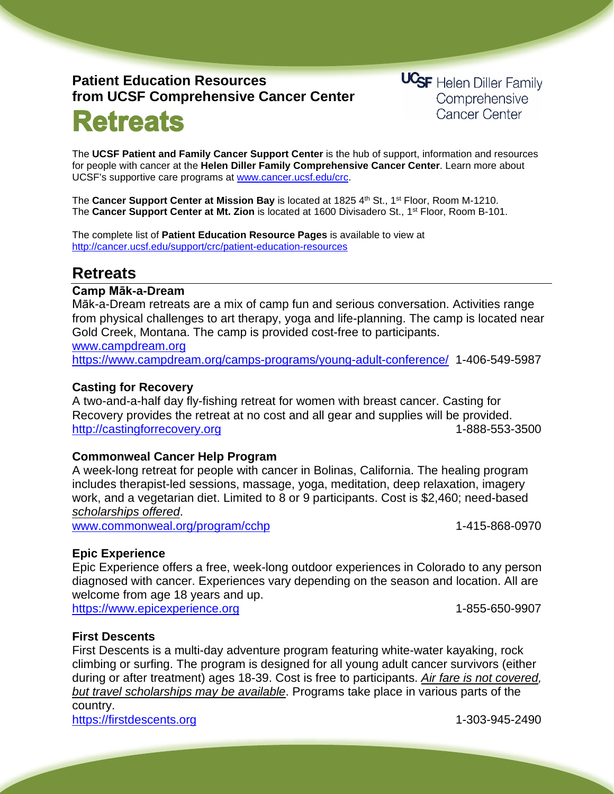# **Patient Education Resources from UCSF Comprehensive Cancer Center**

**Retreats** 

**UCSF** Helen Diller Family Comprehensive **Cancer Center** 

The **UCSF Patient and Family Cancer Support Center** is the hub of support, information and resources for people with cancer at the **Helen Diller Family Comprehensive Cancer Center**. Learn more about UCSF's supportive care programs at [www.cancer.ucsf.edu/crc.](http://www.cancer.ucsf.edu/crc)

The Cancer Support Center at Mission Bay is located at 1825 4<sup>th</sup> St., 1<sup>st</sup> Floor, Room M-1210. The **Cancer Support Center at Mt. Zion** is located at 1600 Divisadero St., 1st Floor, Room B-101.

The complete list of **Patient Education Resource Pages** is available to view at <http://cancer.ucsf.edu/support/crc/patient-education-resources>

# **Retreats**

## **Camp Māk-a-Dream**

Māk-a-Dream retreats are a mix of camp fun and serious conversation. Activities range from physical challenges to art therapy, yoga and life-planning. The camp is located near Gold Creek, Montana. The camp is provided cost-free to participants.

[www.campdream.org](http://www.campdream.org/)  https://www.campdream.org/camps-programs/young-adult-conference/ 1-406-549-5987

# **Casting for Recovery**

A two-and-a-half day fly-fishing retreat for women with breast cancer. Casting for Recovery provides the retreat at no cost and all gear and supplies will be provided. [http://castingforrecovery.org](http://castingforrecovery.org/) 1-888-553-3500

# **Commonweal Cancer Help Program**

A week-long retreat for people with cancer in Bolinas, California. The healing program includes therapist-led sessions, massage, yoga, meditation, deep relaxation, imagery work, and a vegetarian diet. Limited to 8 or 9 participants. Cost is \$2,460; need-based *scholarships offered*.

[www.commonweal.org/program/cchp](http://www.commonweal.org/program/cchp) 1-415-868-0970

# **Epic Experience**

Epic Experience offers a free, week-long outdoor experiences in Colorado to any person diagnosed with cancer. Experiences vary depending on the season and location. All are welcome from age 18 years and up.

[https://www.epicexperience.org](https://www.epicexperience.org/) 1-855-650-9907

# **First Descents**

First Descents is a multi-day adventure program featuring white-water kayaking, rock climbing or surfing. The program is designed for all young adult cancer survivors (either during or after treatment) ages 18-39. Cost is free to participants. *Air fare is not covered, but travel scholarships may be available*. Programs take place in various parts of the country. [https://firstdescents.org](https://firstdescents.org/) 1-303-945-2490